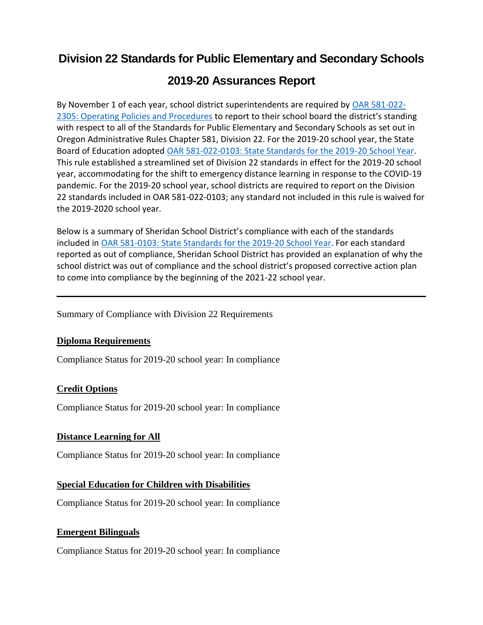# **Division 22 Standards for Public Elementary and Secondary Schools**

# **2019-20 Assurances Report**

By November 1 of each year, school district superintendents are required by [OAR 581-022-](https://secure.sos.state.or.us/oard/viewSingleRule.action?ruleVrsnRsn=237662) 2305: [Operating Policies and Procedures](https://secure.sos.state.or.us/oard/viewSingleRule.action?ruleVrsnRsn=237662) to report to their school board the district's standing with respect to all of the Standards for Public Elementary and Secondary Schools as set out in Oregon Administrative Rules Chapter 581, Division 22. For the 2019-20 school year, the State Board of Education adopted [OAR 581-022-0103: State Standards for the 2019-20 School Year.](https://secure.sos.state.or.us/oard/viewSingleRule.action;JSESSIONID_OARD=zDWSDkRDgLmdLXzE89LuPSDnsLMU0u67xd578zTv7bC9A8G6fUzD!-1442988785?ruleVrsnRsn=271202) This rule established a streamlined set of Division 22 standards in effect for the 2019-20 school year, accommodating for the shift to emergency distance learning in response to the COVID-19 pandemic. For the 2019-20 school year, school districts are required to report on the Division 22 standards included in OAR 581-022-0103; any standard not included in this rule is waived for the 2019-2020 school year.

Below is a summary of Sheridan School District's compliance with each of the standards included in [OAR 581-0103: State Standards for the 2019-20 School Year.](https://secure.sos.state.or.us/oard/viewSingleRule.action;JSESSIONID_OARD=zDWSDkRDgLmdLXzE89LuPSDnsLMU0u67xd578zTv7bC9A8G6fUzD!-1442988785?ruleVrsnRsn=271202) For each standard reported as out of compliance, Sheridan School District has provided an explanation of why the school district was out of compliance and the school district's proposed corrective action plan to come into compliance by the beginning of the 2021-22 school year.

Summary of Compliance with Division 22 Requirements

# **Diploma Requirements**

Compliance Status for 2019-20 school year: In compliance

# **Credit Options**

Compliance Status for 2019-20 school year: In compliance

# **Distance Learning for All**

Compliance Status for 2019-20 school year: In compliance

# **Special Education for Children with Disabilities**

Compliance Status for 2019-20 school year: In compliance

# **Emergent Bilinguals**

Compliance Status for 2019-20 school year: In compliance